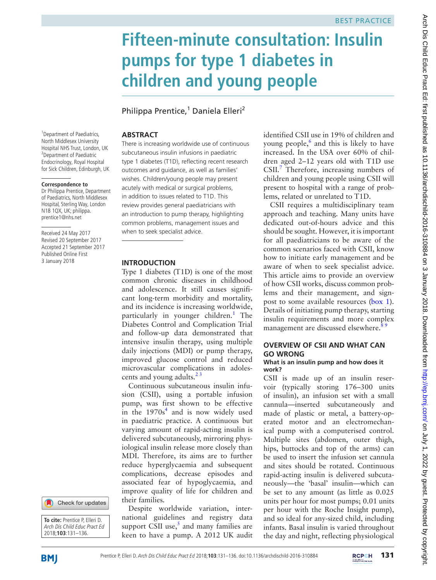# **Fifteen-minute consultation: Insulin pumps for type 1 diabetes in children and young people**

Philippa Prentice,<sup>1</sup> Daniela Elleri<sup>2</sup>

# **Abstract**

There is increasing worldwide use of continuous subcutaneous insulin infusions in paediatric type 1 diabetes (T1D), reflecting recent research outcomes and guidance, as well as families' wishes. Children/young people may present acutely with medical or surgical problems, in addition to issues related to T1D. This review provides general paediatricians with an introduction to pump therapy, highlighting common problems, management issues and when to seek specialist advice.

# **Introduction**

Type 1 diabetes (T1D) is one of the most common chronic diseases in childhood and adolescence. It still causes significant long-term morbidity and mortality, and its incidence is increasing worldwide, particularly in younger children.<sup>[1](#page-5-0)</sup> The Diabetes Control and Complication Trial and follow-up data demonstrated that intensive insulin therapy, using multiple daily injections (MDI) or pump therapy, improved glucose control and reduced microvascular complications in adolescents and young adults.<sup>23</sup>

Continuous subcutaneous insulin infusion (CSII), using a portable infusion pump, was first shown to be effective in the  $1970s<sup>4</sup>$  $1970s<sup>4</sup>$  $1970s<sup>4</sup>$  and is now widely used in paediatric practice. A continuous but varying amount of rapid-acting insulin is delivered subcutaneously, mirroring physiological insulin release more closely than MDI. Therefore, its aims are to further reduce hyperglycaemia and subsequent complications, decrease episodes and associated fear of hypoglycaemia, and improve quality of life for children and their families.

Despite worldwide variation, international guidelines and registry data support CSII use, $<sup>5</sup>$  and many families are</sup> keen to have a pump. A 2012 UK audit

identified CSII use in 19% of children and young people,<sup>[6](#page-5-4)</sup> and this is likely to have increased. In the USA over 60% of children aged 2–12 years old with T1D use CSII.<sup>7</sup> Therefore, increasing numbers of children and young people using CSII will present to hospital with a range of problems, related or unrelated to T1D.

CSII requires a multidisciplinary team approach and teaching. Many units have dedicated out-of-hours advice and this should be sought. However, it is important for all paediatricians to be aware of the common scenarios faced with CSII, know how to initiate early management and be aware of when to seek specialist advice. This article aims to provide an overview of how CSII works, discuss common problems and their management, and signpost to some available resources [\(box](#page-1-0) 1). Details of initiating pump therapy, starting insulin requirements and more complex management are discussed elsewhere.<sup>8 9</sup>

# **Overview of CSII and what can go wrong**

## **What is an insulin pump and how does it work?**

CSII is made up of an insulin reservoir (typically storing 176–300 units of insulin), an infusion set with a small cannula—inserted subcutaneously and made of plastic or metal, a battery-operated motor and an electromechanical pump with a computerised control. Multiple sites (abdomen, outer thigh, hips, buttocks and top of the arms) can be used to insert the infusion set cannula and sites should be rotated. Continuous rapid-acting insulin is delivered subcutaneously—the 'basal' insulin—which can be set to any amount (as little as 0.025 units per hour for most pumps; 0.01 units per hour with the Roche Insight pump), and so ideal for any-sized child, including infants. Basal insulin is varied throughout the day and night, reflecting physiological

<sup>1</sup> Department of Paediatrics, North Middlesex University Hospital NHS Trust, London, UK 2 Department of Paediatric Endocrinology, Royal Hospital for Sick Children, Edinburgh, UK

#### **Correspondence to**

Dr Philippa Prentice, Department of Paediatrics, North Middlesex Hospital, Sterling Way, London N18 1QX, UK; philippa. prentice1@nhs.net

Received 24 May 2017 Revised 20 September 2017 Accepted 21 September 2017 Published Online First 3 January 2018



**To cite:** Prentice P, Elleri D. Arch Dis Child Educ Pract Ed 2018;**103**:131–136.

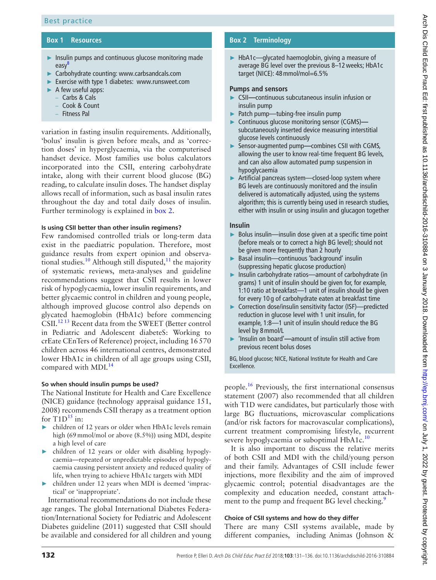### **Box 1 Resources**

- <span id="page-1-0"></span>► Insulin pumps and continuous glucose monitoring made easy<sup>[8](#page-5-6)</sup>
- ► Carbohydrate counting:<www.carbsandcals.com>
- ► Exercise with type 1 diabetes: <www.runsweet.com>
- $\blacktriangleright$  A few useful apps:
	- Carbs & Cals
	- Cook & Count
	- Fitness Pal

variation in fasting insulin requirements. Additionally, 'bolus' insulin is given before meals, and as 'correction doses' in hyperglycaemia, via the computerised handset device. Most families use bolus calculators incorporated into the CSII, entering carbohydrate intake, along with their current blood glucose (BG) reading, to calculate insulin doses. The handset display allows recall of information, such as basal insulin rates throughout the day and total daily doses of insulin. Further terminology is explained in [box](#page-1-1) 2.

#### **Is using CSII better than other insulin regimens?**

Few randomised controlled trials or long-term data exist in the paediatric population. Therefore, most guidance results from expert opinion and observational studies.<sup>10</sup> Although still disputed,<sup>11</sup> the majority of systematic reviews, meta-analyses and guideline recommendations suggest that CSII results in lower risk of hypoglycaemia, lower insulin requirements, and better glycaemic control in children and young people, although improved glucose control also depends on glycated haemoglobin (HbA1c) before commencing CSII.[12 13](#page-5-9) Recent data from the SWEET (Better control in Pediatric and Adolescent diabeteS: Working to crEate CEnTers of Reference) project, including 16570 children across 46 international centres, demonstrated lower HbA1c in children of all age groups using CSII, compared with MDI.<sup>[14](#page-5-10)</sup>

#### **So when should insulin pumps be used?**

The National Institute for Health and Care Excellence (NICE) guidance (technology appraisal guidance 151, 2008) recommends CSII therapy as a treatment option for  $T1D^{15}$  in:

- ► children of 12 years or older when HbA1c levels remain high (69mmol/mol or above (8.5%)) using MDI, despite a high level of care
- ► children of 12 years or older with disabling hypoglycaemia—repeated or unpredictable episodes of hypoglycaemia causing persistent anxiety and reduced quality of life, when trying to achieve HbA1c targets with MDI
- ► children under 12 years when MDI is deemed 'impractical' or 'inappropriate'.

International recommendations do not include these age ranges. The global International Diabetes Federation/International Society for Pediatric and Adolescent Diabetes guideline (2011) suggested that CSII should be available and considered for all children and young

### **Box 2 Terminology**

<span id="page-1-1"></span>► HbA1c—glycated haemoglobin, giving a measure of average BG level over the previous 8–12weeks; HbA1c target (NICE): 48mmol/mol=6.5%

#### **Pumps and sensors**

- ► CSII**—**continuous subcutaneous insulin infusion or insulin pump
- ► Patch pump—tubing-free insulin pump
- ► Continuous glucose monitoring sensor (CGMS) subcutaneously inserted device measuring interstitial glucose levels continuously
- ► Sensor-augmented pump**—**combines CSII with CGMS, allowing the user to know real-time frequent BG levels, and can also allow automated pump suspension in hypoglycaemia
- Artificial pancreas system-closed-loop system where BG levels are continuously monitored and the insulin delivered is automatically adjusted, using the systems algorithm; this is currently being used in research studies, either with insulin or using insulin and glucagon together

#### **Insulin**

- Bolus insulin—insulin dose given at a specific time point (before meals or to correct a high BG level); should not be given more frequently than 2 hourly
- ► Basal insulin—continuous 'background' insulin (suppressing hepatic glucose production)
- ► Insulin carbohydrate ratios—amount of carbohydrate (in grams) 1 unit of insulin should be given for, for example, 1:10 ratio at breakfast—1 unit of insulin should be given for every 10 g of carbohydrate eaten at breakfast time
- ► Correction dose/insulin sensitivity factor (ISF)—predicted reduction in glucose level with 1 unit insulin, for example, 1:8—1 unit of insulin should reduce the BG level by 8mmol/L
- ► 'Insulin on board'**—**amount of insulin still active from previous recent bolus doses

BG, blood glucose; NICE, National Institute for Health and Care Excellence.

people[.16](#page-5-12) Previously, the first international consensus statement (2007) also recommended that all children with T1D were candidates, but particularly those with large BG fluctuations, microvascular complications (and/or risk factors for macrovascular complications), current treatment compromising lifestyle, recurrent severe hypoglycaemia or suboptimal HbA1c.<sup>[10](#page-5-7)</sup>

It is also important to discuss the relative merits of both CSII and MDI with the child/young person and their family. Advantages of CSII include fewer injections, more flexibility and the aim of improved glycaemic control; potential disadvantages are the complexity and education needed, constant attach-ment to the pump and frequent BG level checking.<sup>[9](#page-5-13)</sup>

#### **Choice of CSII systems and how do they differ**

There are many CSII systems available, made by different companies, including Animas (Johnson &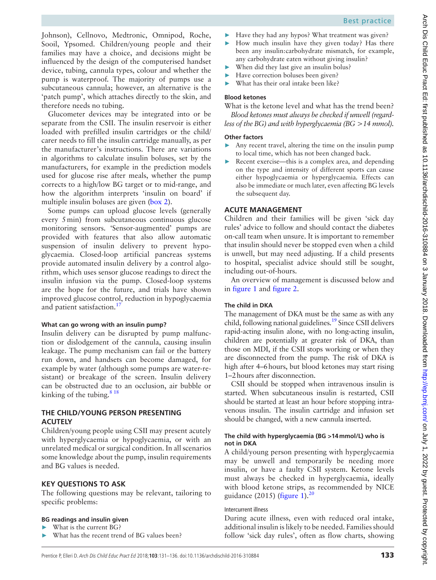Johnson), Cellnovo, Medtronic, Omnipod, Roche, Sooil, Ypsomed. Children/young people and their families may have a choice, and decisions might be influenced by the design of the computerised handset device, tubing, cannula types, colour and whether the pump is waterproof. The majority of pumps use a subcutaneous cannula; however, an alternative is the 'patch pump', which attaches directly to the skin, and therefore needs no tubing.

Glucometer devices may be integrated into or be separate from the CSII. The insulin reservoir is either loaded with prefilled insulin cartridges or the child/ carer needs to fill the insulin cartridge manually, as per the manufacturer's instructions. There are variations in algorithms to calculate insulin boluses, set by the manufacturers, for example in the prediction models used for glucose rise after meals, whether the pump corrects to a high/low BG target or to mid-range, and how the algorithm interprets 'insulin on board' if multiple insulin boluses are given [\(box](#page-1-1) 2).

Some pumps can upload glucose levels (generally every 5min) from subcutaneous continuous glucose monitoring sensors. 'Sensor-augmented' pumps are provided with features that also allow automatic suspension of insulin delivery to prevent hypoglycaemia. Closed-loop artificial pancreas systems provide automated insulin delivery by a control algorithm, which uses sensor glucose readings to direct the insulin infusion via the pump. Closed-loop systems are the hope for the future, and trials have shown improved glucose control, reduction in hypoglycaemia and patient satisfaction.<sup>17</sup>

# **What can go wrong with an insulin pump?**

Insulin delivery can be disrupted by pump malfunction or dislodgement of the cannula, causing insulin leakage. The pump mechanism can fail or the battery run down, and handsets can become damaged, for example by water (although some pumps are water-resistant) or breakage of the screen. Insulin delivery can be obstructed due to an occlusion, air bubble or kinking of the tubing.<sup>818</sup>

# **The child/young person presenting acutely**

Children/young people using CSII may present acutely with hyperglycaemia or hypoglycaemia, or with an unrelated medical or surgical condition. In all scenarios some knowledge about the pump, insulin requirements and BG values is needed.

# **Key questions to ask**

The following questions may be relevant, tailoring to specific problems:

# **BG readings and insulin given**

- What is the current BG?
- What has the recent trend of BG values been?
- ► Have they had any hypos? What treatment was given?
- ► How much insulin have they given today? Has there been any insulin:carbohydrate mismatch, for example, any carbohydrate eaten without giving insulin?
- When did they last give an insulin bolus?
- Have correction boluses been given?
- What has their oral intake been like?

# **Blood ketones**

What is the ketone level and what has the trend been? *Blood ketones must always be checked if unwell (regardless of the BG) and with hyperglycaemia (BG >14 mmol).*

# **Other factors**

- ► Any recent travel, altering the time on the insulin pump to local time, which has not been changed back.
- Recent exercise—this is a complex area, and depending on the type and intensity of different sports can cause either hypoglycaemia or hyperglycaemia. Effects can also be immediate or much later, even affecting BG levels the subsequent day.

# **Acute management**

Children and their families will be given 'sick day rules' advice to follow and should contact the diabetes on-call team when unsure. It is important to remember that insulin should never be stopped even when a child is unwell, but may need adjusting. If a child presents to hospital, specialist advice should still be sought, including out-of-hours.

An overview of management is discussed below and in [figure](#page-3-0) 1 and [figure](#page-4-0) 2.

# **The child in DKA**

The management of DKA must be the same as with any child, following national guidelines.<sup>19</sup> Since CSII delivers rapid-acting insulin alone, with no long-acting insulin, children are potentially at greater risk of DKA, than those on MDI, if the CSII stops working or when they are disconnected from the pump. The risk of DKA is high after 4–6hours, but blood ketones may start rising 1–2hours after disconnection.

CSII should be stopped when intravenous insulin is started. When subcutaneous insulin is restarted, CSII should be started at least an hour before stopping intravenous insulin. The insulin cartridge and infusion set should be changed, with a new cannula inserted.

# **The child with hyperglycaemia (BG >14mmol/L) who is not in DKA**

A child/young person presenting with hyperglycaemia may be unwell and temporarily be needing more insulin, or have a faulty CSII system. Ketone levels must always be checked in hyperglycaemia, ideally with blood ketone strips, as recommended by NICE guidance (2015) ([figure](#page-3-0) 1). $^{20}$ 

# Intercurrent illness

During acute illness, even with reduced oral intake, additional insulin is likely to be needed. Families should follow 'sick day rules', often as flow charts, showing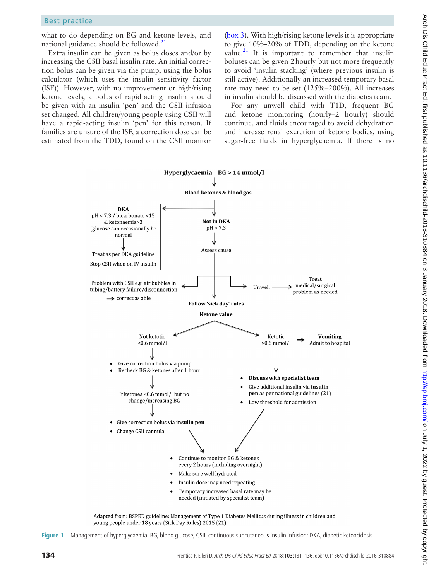what to do depending on BG and ketone levels, and national guidance should be followed. $^{21}$  $^{21}$  $^{21}$ 

Extra insulin can be given as bolus doses and/or by increasing the CSII basal insulin rate. An initial correction bolus can be given via the pump, using the bolus calculator (which uses the insulin sensitivity factor (ISF)). However, with no improvement or high/rising ketone levels, a bolus of rapid-acting insulin should be given with an insulin 'pen' and the CSII infusion set changed. All children/young people using CSII will have a rapid-acting insulin 'pen' for this reason. If families are unsure of the ISF, a correction dose can be estimated from the TDD, found on the CSII monitor

[\(box](#page-4-1) 3). With high/rising ketone levels it is appropriate to give 10%–20% of TDD, depending on the ketone value. $^{21}$  $^{21}$  $^{21}$  It is important to remember that insulin boluses can be given 2hourly but not more frequently to avoid 'insulin stacking' (where previous insulin is still active). Additionally an increased temporary basal rate may need to be set (125%–200%). All increases in insulin should be discussed with the diabetes team.

For any unwell child with T1D, frequent BG and ketone monitoring (hourly–2 hourly) should continue, and fluids encouraged to avoid dehydration and increase renal excretion of ketone bodies, using sugar-free fluids in hyperglycaemia. If there is no



<span id="page-3-0"></span>Adapted from: BSPED guideline: Management of Type 1 Diabetes Mellitus during illness in children and young people under 18 years (Sick Day Rules) 2015 (21)

**Figure 1** Management of hyperglycaemia. BG, blood glucose; CSII, continuous subcutaneous insulin infusion; DKA, diabetic ketoacidosis.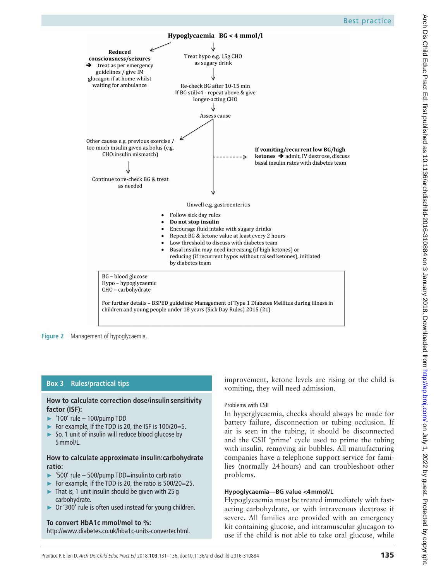

<span id="page-4-0"></span>**Figure 2** Management of hypoglycaemia.

## **Box 3 Rules/practical tips**

## <span id="page-4-1"></span>**How to calculate correction dose/insulinsensitivity factor (ISF):**

- ► '100' rule 100/pump TDD
- ► For example, if the TDD is 20, the ISF is  $100/20=5$ .
- ► So, 1 unit of insulin will reduce blood glucose by 5mmol/L.

#### **How to calculate approximate insulin:carbohydrate ratio:**

- ► '500' rule 500/pump TDD=insulin to carb ratio
- ► For example, if the TDD is 20, the ratio is 500/20=25.
- That is, 1 unit insulin should be given with  $25 g$ carbohydrate.
- ► Or '300' rule is often used instead for young children.

#### **To convert HbA1c mmol/mol to %:** [http://www.diabetes.co.uk/hba1c-units-converter.html.](http://www.diabetes.co.uk/hba1c-units-converter.html)

improvement, ketone levels are rising or the child is vomiting, they will need admission.

## Problems with CSII

In hyperglycaemia, checks should always be made for battery failure, disconnection or tubing occlusion. If air is seen in the tubing, it should be disconnected and the CSII 'prime' cycle used to prime the tubing with insulin, removing air bubbles. All manufacturing companies have a telephone support service for families (normally 24hours) and can troubleshoot other problems.

## **Hypoglycaemia—BG value <4mmol/L**

Hypoglycaemia must be treated immediately with fastacting carbohydrate, or with intravenous dextrose if severe. All families are provided with an emergency kit containing glucose, and intramuscular glucagon to use if the child is not able to take oral glucose, while